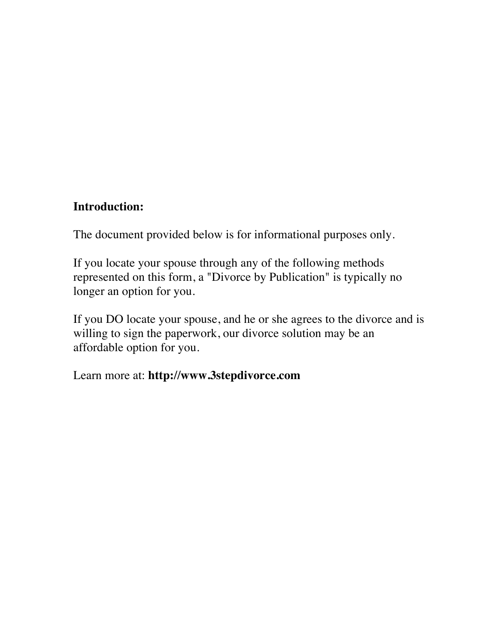## **Introduction:**

The document provided below is for informational purposes only.

If you locate your spouse through any of the following methods represented on this form, a "Divorce by Publication" is typically no longer an option for you.

If you DO locate your spouse, and he or she agrees to the divorce and is willing to sign the paperwork, our divorce solution may be an affordable option for you.

Learn more at: **http://www.3stepdivorce.com**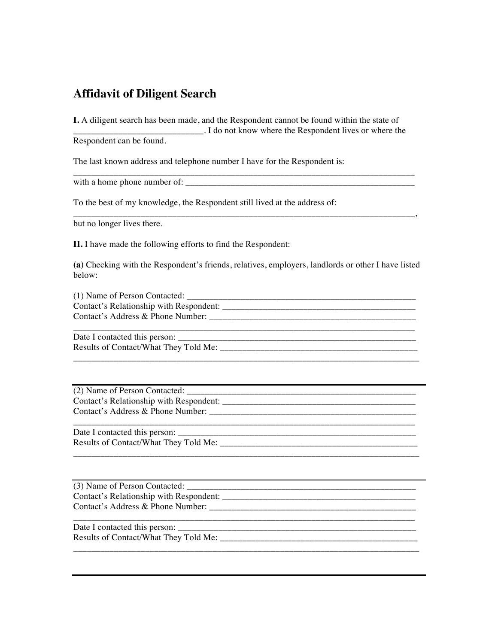## **Affidavit of Diligent Search**

**I.** A diligent search has been made, and the Respondent cannot be found within the state of \_\_\_\_\_\_\_\_\_\_\_\_\_\_\_\_\_\_\_\_\_\_\_\_\_\_\_\_\_. I do not know where the Respondent lives or where the Respondent can be found.

\_\_\_\_\_\_\_\_\_\_\_\_\_\_\_\_\_\_\_\_\_\_\_\_\_\_\_\_\_\_\_\_\_\_\_\_\_\_\_\_\_\_\_\_\_\_\_\_\_\_\_\_\_\_\_\_\_\_\_\_\_\_\_\_\_\_\_\_\_\_\_\_\_\_\_\_

\_\_\_\_\_\_\_\_\_\_\_\_\_\_\_\_\_\_\_\_\_\_\_\_\_\_\_\_\_\_\_\_\_\_\_\_\_\_\_\_\_\_\_\_\_\_\_\_\_\_\_\_\_\_\_\_\_\_\_\_\_\_\_\_\_\_\_\_\_\_\_\_\_\_\_\_,

The last known address and telephone number I have for the Respondent is:

with a home phone number of:

To the best of my knowledge, the Respondent still lived at the address of:

but no longer lives there.

**II.** I have made the following efforts to find the Respondent:

**(a)** Checking with the Respondent's friends, relatives, employers, landlords or other I have listed below:

| (1) Name of Person Contacted:           |
|-----------------------------------------|
| Contact's Relationship with Respondent: |
| Contact's Address & Phone Number:       |
|                                         |

\_\_\_\_\_\_\_\_\_\_\_\_\_\_\_\_\_\_\_\_\_\_\_\_\_\_\_\_\_\_\_\_\_\_\_\_\_\_\_\_\_\_\_\_\_\_\_\_\_\_\_\_\_\_\_\_\_\_\_\_\_\_\_\_\_\_\_\_\_\_\_\_\_\_\_\_\_

\_\_\_\_\_\_\_\_\_\_\_\_\_\_\_\_\_\_\_\_\_\_\_\_\_\_\_\_\_\_\_\_\_\_\_\_\_\_\_\_\_\_\_\_\_\_\_\_\_\_\_\_\_\_\_\_\_\_\_\_\_\_\_\_\_\_\_\_\_\_\_\_\_\_\_\_\_

\_\_\_\_\_\_\_\_\_\_\_\_\_\_\_\_\_\_\_\_\_\_\_\_\_\_\_\_\_\_\_\_\_\_\_\_\_\_\_\_\_\_\_\_\_\_\_\_\_\_\_\_\_\_\_\_\_\_\_\_\_\_\_\_\_\_\_\_\_\_\_\_\_\_\_\_\_

Date I contacted this person:  $\overline{a}$ Results of Contact/What They Told Me: \_\_\_\_\_\_\_\_\_\_\_\_\_\_\_\_\_\_\_\_\_\_\_\_\_\_\_\_\_\_\_\_\_\_\_\_\_\_\_\_\_\_\_\_

 $(2)$  Name of Person Contacted: Contact's Relationship with Respondent: Contact's Address & Phone Number: \_\_\_\_\_\_\_\_\_\_\_\_\_\_\_\_\_\_\_\_\_\_\_\_\_\_\_\_\_\_\_\_\_\_\_\_\_\_\_\_\_\_\_\_\_\_

Date I contacted this person: \_\_\_\_\_\_\_\_\_\_\_\_\_\_\_\_\_\_\_\_\_\_\_\_\_\_\_\_\_\_\_\_\_\_\_\_\_\_\_\_\_\_\_\_\_\_\_\_\_\_\_\_\_ Results of Contact/What They Told Me: \_\_\_\_\_\_\_\_\_\_\_\_\_\_\_\_\_\_\_\_\_\_\_\_\_\_\_\_\_\_\_\_\_\_\_\_\_\_\_\_\_\_\_\_

(3) Name of Person Contacted: Contact's Relationship with Respondent: \_\_\_\_\_\_\_\_\_\_\_\_\_\_\_\_\_\_\_\_\_\_\_\_\_\_\_\_\_\_\_\_\_\_\_\_\_\_\_\_\_\_\_ Contact's Address & Phone Number: \_\_\_\_\_\_\_\_\_\_\_\_\_\_\_\_\_\_\_\_\_\_\_\_\_\_\_\_\_\_\_\_\_\_\_\_\_\_\_\_\_\_\_\_\_\_ \_\_\_\_\_\_\_\_\_\_\_\_\_\_\_\_\_\_\_\_\_\_\_\_\_\_\_\_\_\_\_\_\_\_\_\_\_\_\_\_\_\_\_\_\_\_\_\_\_\_\_\_\_\_\_\_\_\_\_\_\_\_\_\_\_\_\_\_\_\_\_\_\_\_\_\_ Date I contacted this person: \_\_\_\_\_\_\_\_\_\_\_\_\_\_\_\_\_\_\_\_\_\_\_\_\_\_\_\_\_\_\_\_\_\_\_\_\_\_\_\_\_\_\_\_\_\_\_\_\_\_\_\_\_

Results of Contact/What They Told Me: